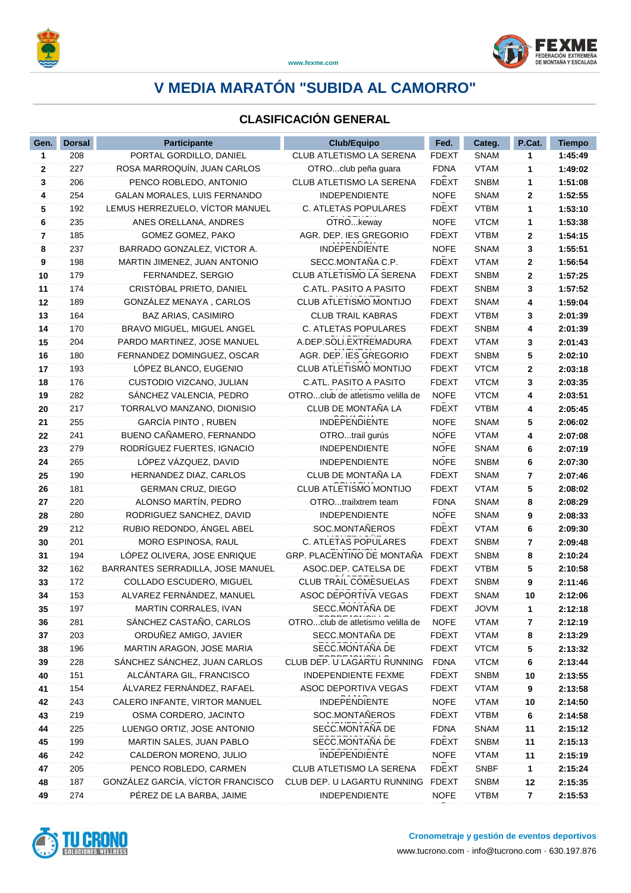

### **V MEDIA MARATÓN "SUBIDA AL CAMORRO" www.fexme.com**

### **CLASIFICACIÓN GENERAL**

| Gen.           | <b>Dorsal</b> | <b>Participante</b>                             | <b>Club/Equipo</b>                | Fed.                        | Categ.                     | P.Cat.  | <b>Tiempo</b>      |
|----------------|---------------|-------------------------------------------------|-----------------------------------|-----------------------------|----------------------------|---------|--------------------|
| 1              | 208           | PORTAL GORDILLO, DANIEL                         | CLUB ATLETISMO LA SERENA          | <b>FDEXT</b>                | <b>SNAM</b>                | 1       | 1:45:49            |
| $\mathbf{2}$   | 227           | ROSA MARROQUÍN, JUAN CARLOS                     | OTROclub peña quara               | <b>FDNA</b>                 | <b>VTAM</b>                | 1       | 1:49:02            |
| 3              | 206           | PENCO ROBLEDO, ANTONIO                          | CLUB ATLETISMO LA SERENA          | <b>FDEXT</b>                | <b>SNBM</b>                | 1       | 1:51:08            |
| 4              | 254           | <b>GALAN MORALES, LUIS FERNANDO</b>             | <b>INDEPENDIENTE</b>              | <b>NOFE</b>                 | <b>SNAM</b>                | 2       | 1:52:55            |
| 5              | 192           | LEMUS HERREZUELO, VÍCTOR MANUEL                 | C. ATLETAS POPULARES              | <b>FDEXT</b>                | <b>VTBM</b>                | 1       | 1:53:10            |
| 6              | 235           | ANES ORELLANA, ANDRES                           | OTROkeway                         | <b>NOFE</b>                 | <b>VTCM</b>                | 1       | 1:53:38            |
| $\overline{7}$ | 185           | GOMEZ GOMEZ, PAKO                               | AGR. DEP. IES GREGORIO            | <b>FDEXT</b>                | <b>VTBM</b>                | 2       | 1:54:15            |
| 8              | 237           | BARRADO GONZALEZ, VICTOR A.                     | INDEPENDIENTE                     | <b>NOFE</b>                 | <b>SNAM</b>                | 3       | 1:55:51            |
| 9              | 198           | MARTIN JIMENEZ, JUAN ANTONIO                    | SECC.MONTAÑA C.P.                 | <b>FDEXT</b>                | <b>VTAM</b>                | 2       | 1:56:54            |
| 10             | 179           | FERNANDEZ, SERGIO                               | CLUB ATLETISMO LA SERENA          | <b>FDEXT</b>                | <b>SNBM</b>                | 2       | 1:57:25            |
| 11             | 174           | CRISTÓBAL PRIETO, DANIEL                        | C.ATL. PASITO A PASITO            | <b>FDEXT</b>                | <b>SNBM</b>                | 3       | 1:57:52            |
| 12             | 189           | GONZÁLEZ MENAYA, CARLOS                         | <b>CLUB ATLETISMO MONTIJO</b>     | <b>FDEXT</b>                | <b>SNAM</b>                | 4       | 1:59:04            |
| 13             | 164           | <b>BAZ ARIAS, CASIMIRO</b>                      | <b>CLUB TRAIL KABRAS</b>          | <b>FDEXT</b>                | <b>VTBM</b>                | 3       | 2:01:39            |
| 14             | 170           | BRAVO MIGUEL, MIGUEL ANGEL                      | C. ATLETAS POPULARES              | <b>FDEXT</b>                | <b>SNBM</b>                | 4       | 2:01:39            |
| 15             | 204           | PARDO MARTINEZ, JOSE MANUEL                     | A.DEP.SOLI.EXTREMADURA            | <b>FDEXT</b>                | <b>VTAM</b>                | 3       | 2:01:43            |
| 16             | 180           | FERNANDEZ DOMINGUEZ, OSCAR                      | AGR. DEP. IES GREGORIO            | <b>FDEXT</b>                | <b>SNBM</b>                | 5       | 2:02:10            |
| 17             | 193           | LÓPEZ BLANCO, EUGENIO                           | CLUB ATLETISMO MONTIJO            | <b>FDEXT</b>                | <b>VTCM</b>                | 2       | 2:03:18            |
| 18             | 176           | CUSTODIO VIZCANO, JULIAN                        | C.ATL. PASITO A PASITO            | <b>FDEXT</b>                | <b>VTCM</b>                | 3       | 2:03:35            |
| 19             | 282           | SÁNCHEZ VALENCIA, PEDRO                         | OTROclub de atletismo velilla de  | <b>NOFE</b>                 | <b>VTCM</b>                | 4       | 2:03:51            |
| 20             | 217           | TORRALVO MANZANO, DIONISIO                      | CLUB DE MONTAÑA LA                | <b>FDEXT</b>                | <b>VTBM</b>                | 4       | 2:05:45            |
| 21             | 255           | GARCÍA PINTO, RUBEN                             | <b>INDEPENDIENTE</b>              | <b>NOFE</b>                 | <b>SNAM</b>                | 5       | 2:06:02            |
| 22             | 241           | BUENO CAÑAMERO, FERNANDO                        | OTROtrail gurús                   | <b>NOFE</b>                 | <b>VTAM</b>                | 4       | 2:07:08            |
| 23             | 279           | RODRÍGUEZ FUERTES, IGNACIO                      | <b>INDEPENDIENTE</b>              | <b>NOFE</b>                 | <b>SNAM</b>                | 6       | 2:07:19            |
| 24             | 265           | LÓPEZ VÁZQUEZ, DAVID                            | <b>INDEPENDIENTE</b>              | <b>NOFE</b>                 | <b>SNBM</b>                | 6       | 2:07:30            |
| 25             | 190           | HERNANDEZ DIAZ, CARLOS                          | CLUB DE MONTAÑA LA                | <b>FDEXT</b>                | <b>SNAM</b>                | 7       | 2:07:46            |
| 26             | 181           | <b>GERMAN CRUZ, DIEGO</b>                       | CLUB ATLETISMO MONTIJO            | <b>FDEXT</b>                | <b>VTAM</b>                | 5       | 2:08:02            |
| 27             | 220           | ALONSO MARTÍN, PEDRO                            | OTROtrailxtrem team               | <b>FDNA</b>                 | <b>SNAM</b>                | 8       | 2:08:29            |
| 28             | 280           | RODRIGUEZ SANCHEZ, DAVID                        | <b>INDEPENDIENTE</b>              | <b>NOFE</b>                 | <b>SNAM</b>                | 9       | 2:08:33            |
| 29             | 212           | RUBIO REDONDO, ÁNGEL ABEL                       | SOC.MONTAÑEROS                    | <b>FDEXT</b>                | <b>VTAM</b>                | 6       | 2:09:30            |
| 30             | 201           | MORO ESPINOSA, RAUL                             | C. ATLETAS POPULARES              | <b>FDEXT</b>                | <b>SNBM</b>                | 7       | 2:09:48            |
| 31             | 194           | LOPEZ OLIVERA, JOSE ENRIQUE                     | GRP. PLACENTINO DE MONTAÑA        | <b>FDEXT</b>                | <b>SNBM</b>                | 8       | 2:10:24            |
| 32             | 162           | BARRANTES SERRADILLA, JOSE MANUEL               | ASOC.DEP. CATELSA DE              | <b>FDEXT</b>                | <b>VTBM</b>                | 5       | 2:10:58            |
| 33             | 172           | COLLADO ESCUDERO, MIGUEL                        | <b>CLUB TRAIL COMESUELAS</b>      | <b>FDEXT</b>                | <b>SNBM</b>                | 9       | 2:11:46            |
| 34             | 153           | ALVAREZ FERNÁNDEZ, MANUEL                       | <b>ASOC DEPORTIVA VEGAS</b>       | <b>FDEXT</b>                | <b>SNAM</b>                | 10      | 2:12:06            |
| 35             | 197           | MARTIN CORRALES, IVAN                           | SECC.MONTAÑA DE                   | <b>FDEXT</b>                | <b>JOVM</b>                | 1.      | 2:12:18            |
| 36             | 281           | SÁNCHEZ CASTAÑO, CARLOS                         | OTROclub de atletismo velilla de  | <b>NOFE</b>                 | <b>VTAM</b>                | 7       | 2:12:19            |
| 37             | 203           | ORDUÑEZ AMIGO, JAVIER                           | SECC.MONTAÑA DE                   | <b>FDEXT</b>                | <b>VTAM</b>                | 8       | 2:13:29            |
| 38             | 196           | MARTIN ARAGON, JOSE MARIA                       | SECC.MONTAÑA DE                   | <b>FDEXT</b>                | <b>VTCM</b>                | 5       | 2:13:32            |
| 39             | 228           | SÁNCHEZ SÁNCHEZ, JUAN CARLOS                    | CLUB DEP. U LAGARTU RUNNING       | <b>FDNA</b>                 | <b>VTCM</b>                | 6       | 2:13:44            |
| 40             | 151           | ALCÁNTARA GIL, FRANCISCO                        | INDEPENDIENTE FEXME               | <b>FDEXT</b>                | <b>SNBM</b>                | 10      | 2:13:55            |
| 41             | 154           | ÁLVAREZ FERNÁNDEZ, RAFAEL                       | ASOC DEPORTIVA VEGAS              | <b>FDEXT</b>                | <b>VTAM</b>                | 9       | 2:13:58            |
| 42             | 243           | CALERO INFANTE, VIRTOR MANUEL                   | <b>INDEPENDIENTE</b>              | <b>NOFE</b><br><b>FDEXT</b> | <b>VTAM</b>                | 10      | 2:14:50            |
| 43             | 219           | OSMA CORDERO, JACINTO                           | SOC.MONTAÑEROS<br>SECC.MONTAÑA DE |                             | <b>VTBM</b>                | 6       | 2:14:58            |
| 44             | 225           | LUENGO ORTIZ, JOSE ANTONIO                      | SECC.MONTAÑA DE                   | <b>FDNA</b><br><b>FDEXT</b> | <b>SNAM</b>                | 11      | 2:15:12            |
| 45             | 199<br>242    | MARTIN SALES, JUAN PABLO                        | INDEPENDIENTE                     | <b>NOFE</b>                 | <b>SNBM</b>                | 11      | 2:15:13            |
| 46<br>47       | 205           | CALDERON MORENO, JULIO<br>PENCO ROBLEDO, CARMEN | CLUB ATLETISMO LA SERENA          | <b>FDEXT</b>                | <b>VTAM</b><br><b>SNBF</b> | 11      | 2:15:19            |
| 48             | 187           | GONZÁLEZ GARCÍA, VÍCTOR FRANCISCO               | CLUB DEP. U LAGARTU RUNNING       | <b>FDEXT</b>                | <b>SNBM</b>                | 1<br>12 | 2:15:24<br>2:15:35 |
| 49             | 274           | PÉREZ DE LA BARBA, JAIME                        | INDEPENDIENTE                     | <b>NOFE</b>                 | <b>VTBM</b>                | 7       | 2:15:53            |
|                |               |                                                 |                                   |                             |                            |         |                    |



D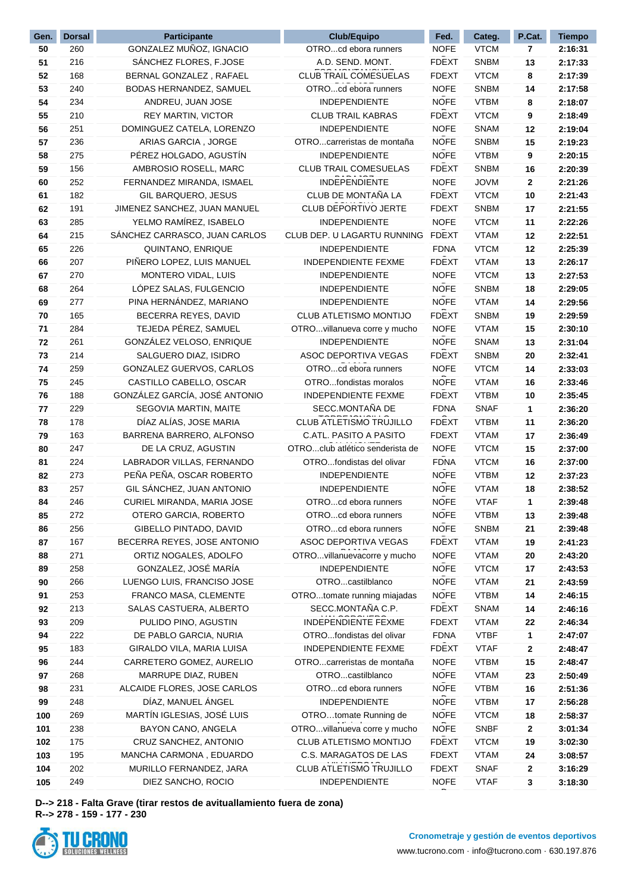| Gen. | <b>Dorsal</b> | <b>Participante</b>                             | Club/Equipo                     | Fed.                        | Categ.                     | P.Cat.       | <b>Tiempo</b>      |
|------|---------------|-------------------------------------------------|---------------------------------|-----------------------------|----------------------------|--------------|--------------------|
| 50   | 260           | GONZALEZ MUÑOZ, IGNACIO                         | OTROcd ebora runners            | <b>NOFE</b>                 | <b>VTCM</b>                | 7            | 2:16:31            |
| 51   | 216           | SÁNCHEZ FLORES, F.JOSE                          | A.D. SEND. MONT.                | <b>FDEXT</b>                | <b>SNBM</b>                | 13           | 2:17:33            |
| 52   | 168           | BERNAL GONZALEZ, RAFAEL                         | CLUB TRAIL COMESUELAS           | <b>FDEXT</b>                | <b>VTCM</b>                | 8            | 2:17:39            |
| 53   | 240           | BODAS HERNANDEZ, SAMUEL                         | OTROcd ebora runners            | <b>NOFE</b>                 | <b>SNBM</b>                | 14           | 2:17:58            |
| 54   | 234           | ANDREU, JUAN JOSE                               | <b>INDEPENDIENTE</b>            | <b>NOFE</b>                 | <b>VTBM</b>                | 8            | 2:18:07            |
| 55   | 210           | <b>REY MARTIN, VICTOR</b>                       | <b>CLUB TRAIL KABRAS</b>        | <b>FDEXT</b>                | <b>VTCM</b>                | 9            | 2:18:49            |
| 56   | 251           | DOMINGUEZ CATELA, LORENZO                       | <b>INDEPENDIENTE</b>            | <b>NOFE</b>                 | <b>SNAM</b>                | 12           | 2:19:04            |
| 57   | 236           | ARIAS GARCIA, JORGE                             | OTROcarreristas de montaña      | <b>NOFE</b>                 | <b>SNBM</b>                | 15           | 2:19:23            |
| 58   | 275           | PÉREZ HOLGADO, AGUSTÍN                          | <b>INDEPENDIENTE</b>            | <b>NOFE</b>                 | <b>VTBM</b>                | 9            | 2:20:15            |
| 59   | 156           | AMBROSIO ROSELL, MARC                           | <b>CLUB TRAIL COMESUELAS</b>    | <b>FDEXT</b>                | <b>SNBM</b>                | 16           | 2:20:39            |
| 60   | 252           | FERNANDEZ MIRANDA, ISMAEL                       | <b>INDEPENDIENTE</b>            | <b>NOFE</b>                 | <b>JOVM</b>                | $\mathbf{2}$ | 2:21:26            |
| 61   | 182           | GIL BARQUERO, JESUS                             | CLUB DE MONTAÑA LA              | <b>FDEXT</b>                | <b>VTCM</b>                | 10           | 2:21:43            |
| 62   | 191           | JIMENEZ SANCHEZ, JUAN MANUEL                    | CLUB DEPORTIVO JERTE            | <b>FDEXT</b>                | <b>SNBM</b>                | 17           | 2:21:55            |
| 63   | 285           | YELMO RAMÍREZ, ISABELO                          | INDEPENDIENTE                   | <b>NOFE</b>                 | <b>VTCM</b>                | 11           | 2:22:26            |
| 64   | 215           | SANCHEZ CARRASCO, JUAN CARLOS                   | CLUB DEP. U LAGARTU RUNNING     | <b>FDEXT</b>                | <b>VTAM</b>                | 12           | 2:22:51            |
| 65   | 226           | QUINTANO, ENRIQUE                               | INDEPENDIENTE                   | <b>FDNA</b>                 | <b>VTCM</b>                | 12           | 2:25:39            |
| 66   | 207           | PIÑERO LOPEZ, LUIS MANUEL                       | <b>INDEPENDIENTE FEXME</b>      | <b>FDEXT</b>                | <b>VTAM</b>                | 13           | 2:26:17            |
| 67   | 270           | MONTERO VIDAL, LUIS                             | <b>INDEPENDIENTE</b>            | <b>NOFE</b>                 | <b>VTCM</b>                | 13           | 2:27:53            |
| 68   | 264           | LÓPEZ SALAS, FULGENCIO                          | <b>INDEPENDIENTE</b>            | <b>NOFE</b>                 | <b>SNBM</b>                | 18           | 2:29:05            |
| 69   | 277           | PINA HERNÁNDEZ, MARIANO                         | <b>INDEPENDIENTE</b>            | <b>NOFE</b>                 | <b>VTAM</b>                | 14           | 2:29:56            |
| 70   | 165           | BECERRA REYES, DAVID                            | CLUB ATLETISMO MONTIJO          | <b>FDEXT</b>                | <b>SNBM</b>                | 19           | 2:29:59            |
| 71   | 284           | TEJEDA PÉREZ, SAMUEL                            | OTROvillanueva corre y mucho    | <b>NOFE</b>                 | <b>VTAM</b>                | 15           | 2:30:10            |
| 72   | 261           | GONZÁLEZ VELOSO, ENRIQUE                        | <b>INDEPENDIENTE</b>            | <b>NOFE</b>                 | <b>SNAM</b>                | 13           | 2:31:04            |
| 73   | 214           | SALGUERO DIAZ, ISIDRO                           | ASOC DEPORTIVA VEGAS            | <b>FDEXT</b>                | <b>SNBM</b>                | 20           | 2:32:41            |
| 74   | 259           | GONZALEZ GUERVOS, CARLOS                        | OTROcd ebora runners            | <b>NOFE</b>                 | <b>VTCM</b>                | 14           | 2:33:03            |
| 75   | 245           | CASTILLO CABELLO, OSCAR                         | OTROfondistas moralos           | <b>NOFE</b>                 | <b>VTAM</b>                | 16           | 2:33:46            |
| 76   | 188           | GONZÁLEZ GARCÍA, JOSÉ ANTONIO                   | <b>INDEPENDIENTE FEXME</b>      | <b>FDEXT</b>                | <b>VTBM</b>                | 10           | 2:35:45            |
| 77   | 229           | SEGOVIA MARTIN, MAITE                           | SECC.MONTAÑA DE                 | <b>FDNA</b>                 | <b>SNAF</b>                | 1            | 2:36:20            |
|      | 178           | DÍAZ ALÍAS, JOSE MARIA                          | CLUB ATLETISMO TRUJILLO         | <b>FDEXT</b>                | <b>VTBM</b>                |              | 2:36:20            |
| 78   |               |                                                 | C.ATL. PASITO A PASITO          |                             |                            | 11           |                    |
| 79   | 163<br>247    | BARRENA BARRERO, ALFONSO<br>DE LA CRUZ, AGUSTIN | OTROclub atlético senderista de | <b>FDEXT</b><br><b>NOFE</b> | <b>VTAM</b><br><b>VTCM</b> | 17           | 2:36:49<br>2:37:00 |
| 80   |               |                                                 |                                 |                             |                            | 15           |                    |
| 81   | 224           | LABRADOR VILLAS, FERNANDO                       | OTROfondistas del olivar        | <b>FDNA</b>                 | <b>VTCM</b>                | 16           | 2:37:00            |
| 82   | 273           | PEÑA PEÑA, OSCAR ROBERTO                        | INDEPENDIENTE                   | <b>NOFE</b>                 | <b>VTBM</b>                | 12           | 2:37:23            |
| 83   | 257           | GIL SÁNCHEZ, JUAN ANTONIO                       | INDEPENDIENTE                   | <b>NOFE</b>                 | <b>VTAM</b>                | 18           | 2:38:52            |
| 84   | 246           | CURIEL MIRANDA, MARIA JOSE                      | OTROcd ebora runners            | <b>NOFE</b>                 | <b>VTAF</b>                | 1            | 2:39:48            |
| 85   | 272           | OTERO GARCIA, ROBERTO                           | OTROcd ebora runners            | <b>NOFE</b>                 | <b>VTBM</b>                | 13           | 2:39:48            |
| 86   | 256           | GIBELLO PINTADO, DAVID                          | OTROcd ebora runners            | <b>NOFE</b>                 | <b>SNBM</b>                | 21           | 2:39:48            |
| 87   | 167           | BECERRA REYES, JOSE ANTONIO                     | ASOC DEPORTIVA VEGAS            | <b>FDEXT</b>                | <b>VTAM</b>                | 19           | 2:41:23            |
| 88   | 271           | ORTIZ NOGALES, ADOLFO                           | OTROvillanuevacorre y mucho     | <b>NOFE</b>                 | <b>VTAM</b>                | 20           | 2:43:20            |
| 89   | 258           | GONZALEZ, JOSÉ MARÍA                            | <b>INDEPENDIENTE</b>            | <b>NOFE</b>                 | <b>VTCM</b>                | 17           | 2:43:53            |
| 90   | 266           | LUENGO LUIS, FRANCISO JOSE                      | OTROcastilblanco                | <b>NOFE</b>                 | <b>VTAM</b>                | 21           | 2:43:59            |
| 91   | 253           | FRANCO MASA, CLEMENTE                           | OTROtomate running miajadas     | <b>NOFE</b>                 | <b>VTBM</b>                | 14           | 2:46:15            |
| 92   | 213           | SALAS CASTUERA, ALBERTO                         | SECC.MONTAÑA C.P.               | <b>FDEXT</b>                | <b>SNAM</b>                | 14           | 2:46:16            |
| 93   | 209           | PULIDO PINO, AGUSTIN                            | INDEPENDIENTE FEXME             | <b>FDEXT</b>                | <b>VTAM</b>                | 22           | 2:46:34            |
| 94   | 222           | DE PABLO GARCIA, NURIA                          | OTROfondistas del olivar        | <b>FDNA</b>                 | <b>VTBF</b>                | 1            | 2:47:07            |
| 95   | 183           | GIRALDO VILA, MARIA LUISA                       | INDEPENDIENTE FEXME             | <b>FDEXT</b>                | <b>VTAF</b>                | 2            | 2:48:47            |
| 96   | 244           | CARRETERO GOMEZ, AURELIO                        | OTROcarreristas de montaña      | <b>NOFE</b>                 | <b>VTBM</b>                | 15           | 2:48:47            |
| 97   | 268           | MARRUPE DIAZ, RUBEN                             | OTROcastilblanco                | <b>NOFE</b>                 | <b>VTAM</b>                | 23           | 2:50:49            |
| 98   | 231           | ALCAIDE FLORES, JOSE CARLOS                     | OTROcd ebora runners            | <b>NOFE</b>                 | <b>VTBM</b>                | 16           | 2:51:36            |
| 99   | 248           | DÍAZ, MANUEL ÁNGEL                              | INDEPENDIENTE                   | <b>NOFE</b>                 | <b>VTBM</b>                | 17           | 2:56:28            |
| 100  | 269           | MARTÍN IGLESIAS, JOSÉ LUIS                      | OTROtomate Running de           | <b>NOFE</b>                 | <b>VTCM</b>                | 18           | 2:58:37            |
| 101  | 238           | BAYON CANO, ANGELA                              | OTROvillanueva corre y mucho    | <b>NOFE</b>                 | <b>SNBF</b>                | 2            | 3:01:34            |
| 102  | 175           | CRUZ SANCHEZ, ANTONIO                           | CLUB ATLETISMO MONTIJO          | <b>FDEXT</b>                | <b>VTCM</b>                | 19           | 3:02:30            |
| 103  | 195           | MANCHA CARMONA, EDUARDO                         | C.S. MARAGATOS DE LAS           | <b>FDEXT</b>                | <b>VTAM</b>                | 24           | 3:08:57            |
| 104  | 202           | MURILLO FERNANDEZ, JARA                         | CLUB ATLETISMO TRUJILLO         | <b>FDEXT</b>                | <b>SNAF</b>                | $\mathbf{2}$ | 3:16:29            |
| 105  | 249           | DIEZ SANCHO, ROCIO                              | INDEPENDIENTE                   | <b>NOFE</b>                 | <b>VTAF</b>                | 3            | 3:18:30            |
|      |               |                                                 |                                 |                             |                            |              |                    |

**D--> 218 - Falta Grave (tirar restos de avituallamiento fuera de zona) R--> 278 - 159 - 177 - 230**

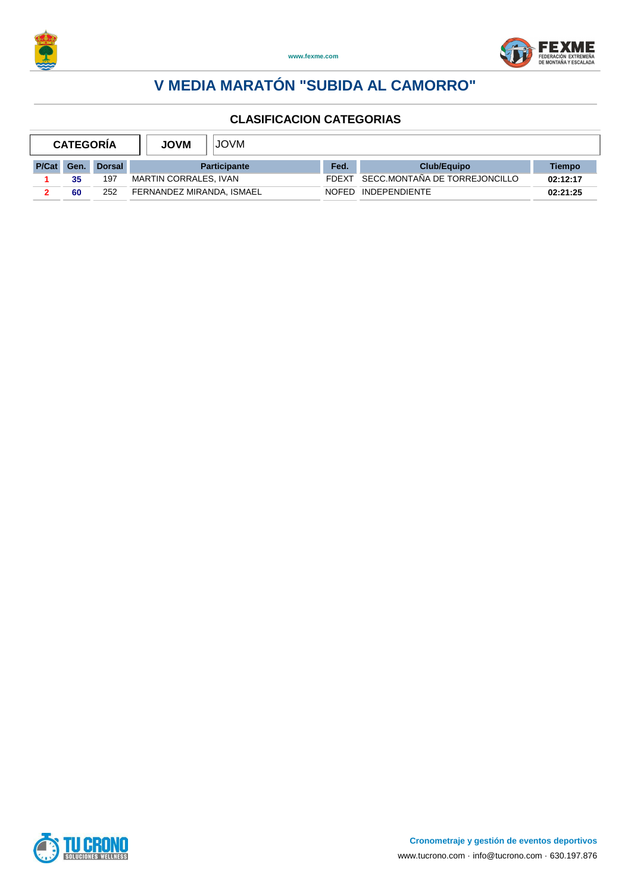



| <b>CATEGORIA</b> |      | <b>JOVM</b>   | <b>JOVM</b>               |  |              |                               |          |
|------------------|------|---------------|---------------------------|--|--------------|-------------------------------|----------|
| P/Cat            | Gen. | <b>Dorsal</b> | <b>Participante</b>       |  | Fed.         | <b>Club/Equipo</b>            | Tiempo   |
|                  | 35   | 197           | MARTIN CORRALES, IVAN     |  | <b>FDFXT</b> | SECC.MONTAÑA DE TORREJONCILLO | 02:12:17 |
|                  | 60   | 252           | FERNANDEZ MIRANDA, ISMAEL |  | <b>NOFED</b> | INDEPENDIENTE                 | 02:21:25 |

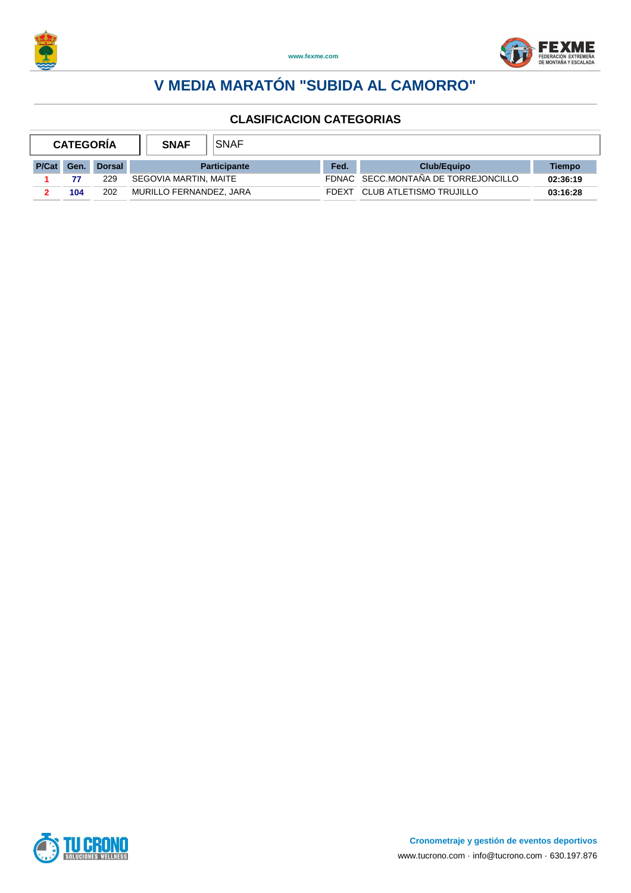



|       | <b>CATEGORIA</b> |               | <b>SNAF</b>             | <b>SNAF</b> |       |                                     |          |
|-------|------------------|---------------|-------------------------|-------------|-------|-------------------------------------|----------|
| P/Cat | Gen.             | <b>Dorsal</b> | <b>Participante</b>     |             | Fed.  | <b>Club/Equipo</b>                  | Tiempo   |
|       |                  | 229           | SEGOVIA MARTIN, MAITE   |             |       | FDNAC SECC.MONTAÑA DE TORREJONCILLO | 02:36:19 |
|       | 104              | 202           | MURILLO FERNANDEZ, JARA |             | FDFXT | CLUB ATLETISMO TRUJILLO             | 03:16:28 |

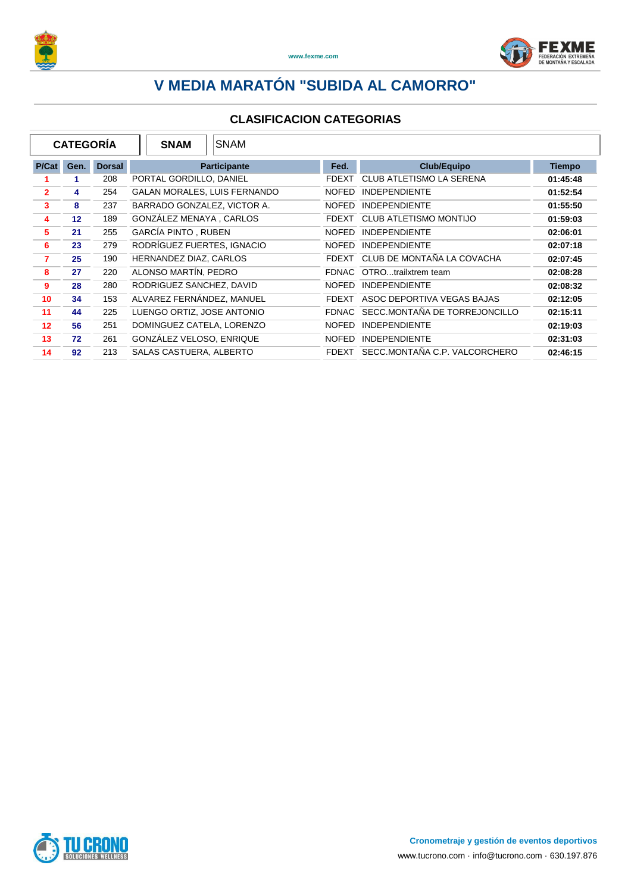



|                | <b>CATEGORÍA</b> |               | <b>SNAM</b>                 | <b>SNAM</b>                         |              |                               |               |
|----------------|------------------|---------------|-----------------------------|-------------------------------------|--------------|-------------------------------|---------------|
| P/Cat          | Gen.             | <b>Dorsal</b> |                             | <b>Participante</b>                 | Fed.         | <b>Club/Equipo</b>            | <b>Tiempo</b> |
|                |                  | 208           | PORTAL GORDILLO, DANIEL     |                                     | <b>FDEXT</b> | CLUB ATLETISMO LA SERENA      | 01:45:48      |
| $\overline{2}$ | 4                | 254           |                             | <b>GALAN MORALES, LUIS FERNANDO</b> | <b>NOFED</b> | <b>INDEPENDIENTE</b>          | 01:52:54      |
| 3              | 8                | 237           | BARRADO GONZALEZ, VICTOR A. |                                     | <b>NOFED</b> | <b>INDEPENDIENTE</b>          | 01:55:50      |
| 4              | 12               | 189           | GONZALEZ MENAYA, CARLOS     |                                     | <b>FDEXT</b> | <b>CLUB ATLETISMO MONTIJO</b> | 01:59:03      |
| 5              | 21               | 255           | <b>GARCÍA PINTO, RUBEN</b>  |                                     | <b>NOFED</b> | <b>INDEPENDIENTE</b>          | 02:06:01      |
| 6              | 23               | 279           | RODRÍGUEZ FUERTES, IGNACIO  |                                     | <b>NOFED</b> | <b>INDEPENDIENTE</b>          | 02:07:18      |
| 7              | 25               | 190           | HERNANDEZ DIAZ, CARLOS      |                                     | <b>FDEXT</b> | CLUB DE MONTAÑA LA COVACHA    | 02:07:45      |
| 8              | 27               | 220           | ALONSO MARTIN, PEDRO        |                                     | <b>FDNAC</b> | OTROtrailxtrem team           | 02:08:28      |
| 9              | 28               | 280           | RODRIGUEZ SANCHEZ, DAVID    |                                     | <b>NOFED</b> | <b>INDEPENDIENTE</b>          | 02:08:32      |
| 10             | 34               | 153           | ALVAREZ FERNANDEZ, MANUEL   |                                     | <b>FDEXT</b> | ASOC DEPORTIVA VEGAS BAJAS    | 02:12:05      |
| 11             | 44               | 225           | LUENGO ORTIZ, JOSE ANTONIO  |                                     | <b>FDNAC</b> | SECC.MONTAÑA DE TORREJONCILLO | 02:15:11      |
| 12             | 56               | 251           | DOMINGUEZ CATELA, LORENZO   |                                     | <b>NOFED</b> | <b>INDEPENDIENTE</b>          | 02:19:03      |
| 13             | 72               | 261           | GONZÁLEZ VELOSO, ENRIQUE    |                                     | <b>NOFED</b> | <b>INDEPENDIENTE</b>          | 02:31:03      |
| 14             | 92               | 213           | SALAS CASTUERA, ALBERTO     |                                     | <b>FDEXT</b> | SECC.MONTAÑA C.P. VALCORCHERO | 02:46:15      |

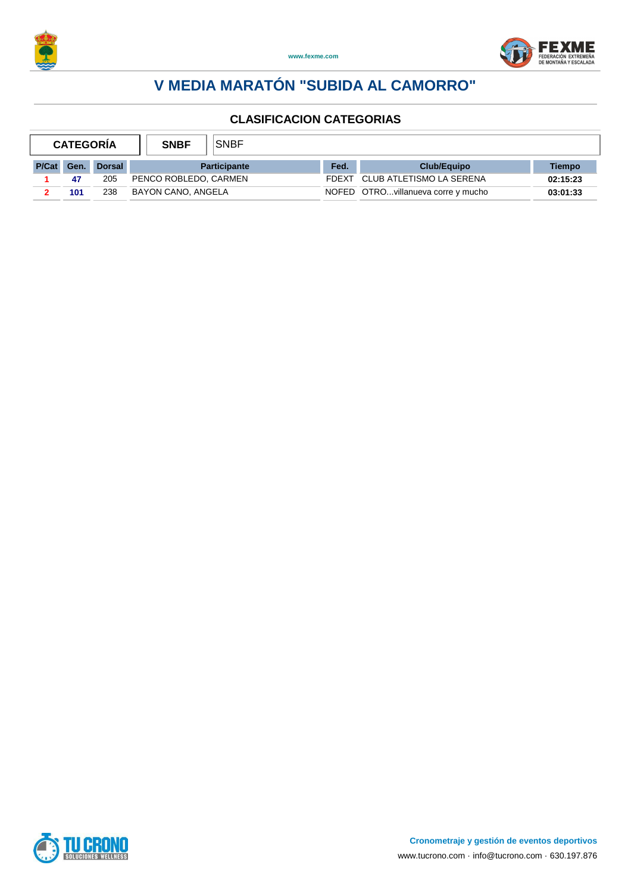



|            | <b>CATEGORIA</b> |               | <b>SNBF</b>           | <b>SNBF</b> |       |                                    |          |
|------------|------------------|---------------|-----------------------|-------------|-------|------------------------------------|----------|
| P/Cat Gen. |                  | <b>Dorsal</b> | <b>Participante</b>   |             | Fed.  | <b>Club/Equipo</b>                 | Tiempo   |
|            | 47               | 205           | PENCO ROBLEDO, CARMEN |             | FDFXT | CLUB ATLETISMO LA SERENA           | 02:15:23 |
|            | 101              | 238           | BAYON CANO, ANGELA    |             |       | NOFED OTROvillanueva corre y mucho | 03:01:33 |

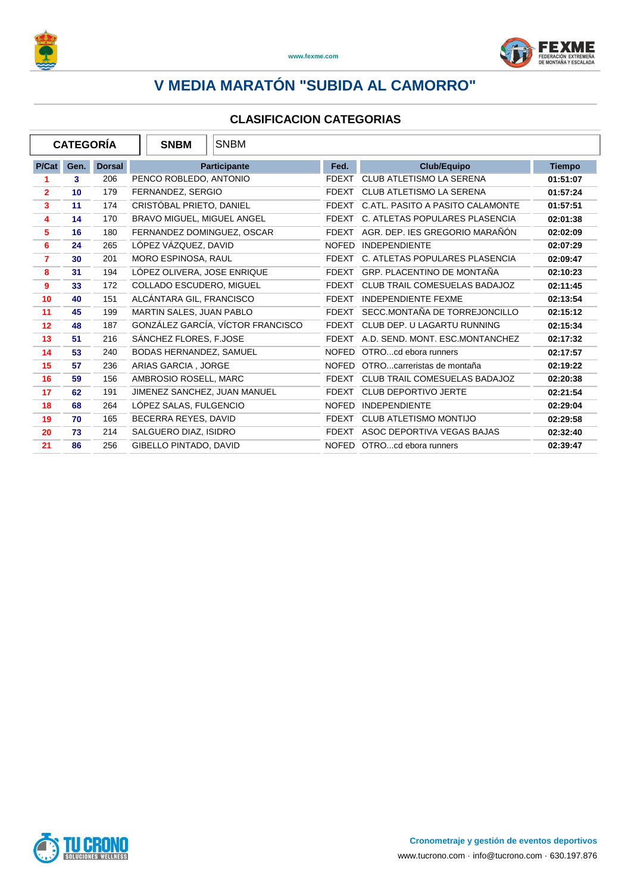



| <b>CATEGORÍA</b> |      |               | <b>SNBM</b><br><b>SNBM</b>        |              |                                      |               |
|------------------|------|---------------|-----------------------------------|--------------|--------------------------------------|---------------|
| P/Cat            | Gen. | <b>Dorsal</b> | Participante                      | Fed.         | <b>Club/Equipo</b>                   | <b>Tiempo</b> |
| 1                | 3    | 206           | PENCO ROBLEDO, ANTONIO            | <b>FDEXT</b> | <b>CLUB ATLETISMO LA SERENA</b>      | 01:51:07      |
| $\mathbf{2}$     | 10   | 179           | FERNANDEZ, SERGIO                 | FDEXT        | <b>CLUB ATLETISMO LA SERENA</b>      | 01:57:24      |
| 3                | 11   | 174           | CRISTÓBAL PRIETO, DANIEL          | <b>FDEXT</b> | C.ATL. PASITO A PASITO CALAMONTE     | 01:57:51      |
| 4                | 14   | 170           | BRAVO MIGUEL, MIGUEL ANGEL        |              | FDEXT C. ATLETAS POPULARES PLASENCIA | 02:01:38      |
| 5                | 16   | 180           | FERNANDEZ DOMINGUEZ, OSCAR        | <b>FDEXT</b> | AGR. DEP. IES GREGORIO MARAÑON       | 02:02:09      |
| 6                | 24   | 265           | LÓPEZ VÁZQUEZ, DAVID              | <b>NOFED</b> | <b>INDEPENDIENTE</b>                 | 02:07:29      |
| $\overline{7}$   | 30   | 201           | MORO ESPINOSA, RAUL               |              | FDEXT C. ATLETAS POPULARES PLASENCIA | 02:09:47      |
| 8                | 31   | 194           | LÓPEZ OLIVERA, JOSE ENRIQUE       | FDEXT        | GRP. PLACENTINO DE MONTAÑA           | 02:10:23      |
| 9                | 33   | 172           | COLLADO ESCUDERO, MIGUEL          | <b>FDEXT</b> | CLUB TRAIL COMESUELAS BADAJOZ        | 02:11:45      |
| 10               | 40   | 151           | ALCÁNTARA GIL, FRANCISCO          | <b>FDEXT</b> | <b>INDEPENDIENTE FEXME</b>           | 02:13:54      |
| 11               | 45   | 199           | MARTIN SALES, JUAN PABLO          | <b>FDEXT</b> | SECC.MONTAÑA DE TORREJONCILLO        | 02:15:12      |
| 12               | 48   | 187           | GONZÁLEZ GARCÍA, VÍCTOR FRANCISCO | FDEXT        | CLUB DEP. U LAGARTU RUNNING          | 02:15:34      |
| 13               | 51   | 216           | SÁNCHEZ FLORES, F.JOSE            | <b>FDEXT</b> | A.D. SEND. MONT. ESC.MONTANCHEZ      | 02:17:32      |
| 14               | 53   | 240           | BODAS HERNANDEZ, SAMUEL           |              | NOFED OTROcd ebora runners           | 02:17:57      |
| 15               | 57   | 236           | ARIAS GARCIA . JORGE              | <b>NOFED</b> | OTROcarreristas de montaña           | 02:19:22      |
| 16               | 59   | 156           | AMBROSIO ROSELL, MARC             | <b>FDEXT</b> | CLUB TRAIL COMESUELAS BADAJOZ        | 02:20:38      |
| 17               | 62   | 191           | JIMENEZ SANCHEZ, JUAN MANUEL      | <b>FDEXT</b> | <b>CLUB DEPORTIVO JERTE</b>          | 02:21:54      |
| 18               | 68   | 264           | LÓPEZ SALAS, FULGENCIO            | <b>NOFED</b> | <b>INDEPENDIENTE</b>                 | 02:29:04      |
| 19               | 70   | 165           | BECERRA REYES, DAVID              | <b>FDEXT</b> | <b>CLUB ATLETISMO MONTIJO</b>        | 02:29:58      |
| 20               | 73   | 214           | SALGUERO DIAZ, ISIDRO             | <b>FDEXT</b> | ASOC DEPORTIVA VEGAS BAJAS           | 02:32:40      |
| 21               | 86   | 256           | GIBELLO PINTADO, DAVID            |              | NOFED OTROcd ebora runners           | 02:39:47      |

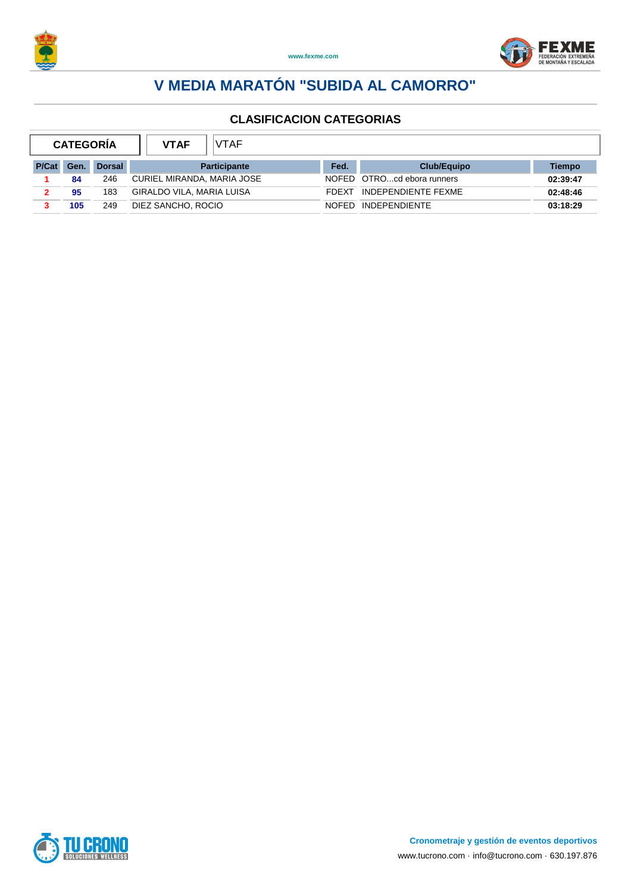



| <b>CATEGORÍA</b> |     |               | <b>VTAF</b><br><b>VTAF</b> |              |                            |          |
|------------------|-----|---------------|----------------------------|--------------|----------------------------|----------|
| P/Cat            | Gen | <b>Dorsal</b> | <b>Participante</b>        | Fed.         | <b>Club/Equipo</b>         | Tiempo   |
|                  | 84  | 246           | CURIEL MIRANDA, MARIA JOSE |              | NOFED OTROcd ebora runners | 02:39:47 |
|                  | 95  | 183           | GIRALDO VILA, MARIA LUISA  | <b>FDFXT</b> | INDEPENDIENTE FEXME        | 02:48:46 |
|                  | 105 | 249           | DIEZ SANCHO, ROCIO         | <b>NOFED</b> | <b>INDEPENDIENTE</b>       | 03:18:29 |

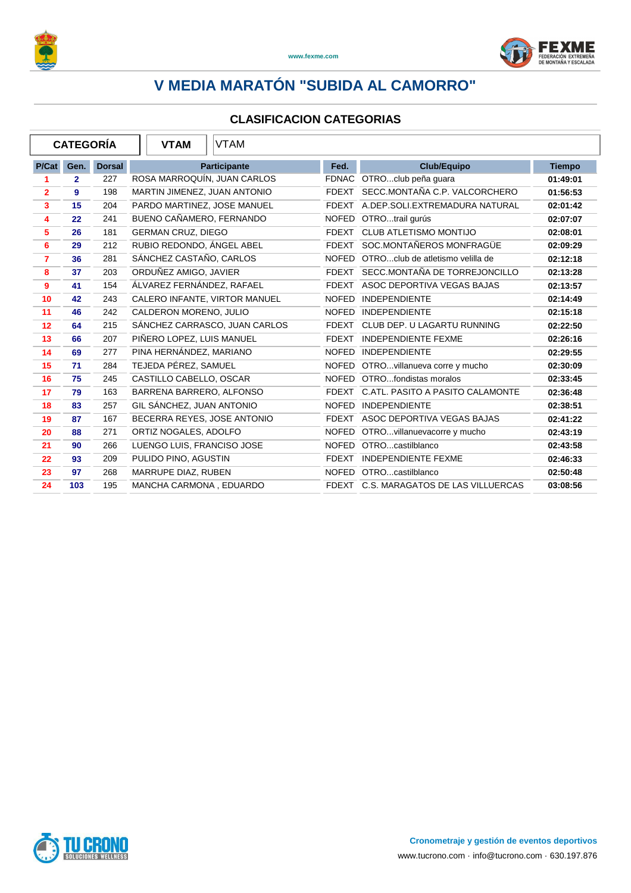



| <b>CATEGORÍA</b> |                |               | VTAM<br><b>VTAM</b>           |              |                                        |               |
|------------------|----------------|---------------|-------------------------------|--------------|----------------------------------------|---------------|
| P/Cat            | Gen.           | <b>Dorsal</b> | Participante                  | Fed.         | <b>Club/Equipo</b>                     | <b>Tiempo</b> |
| 1                | $\overline{2}$ | 227           | ROSA MARROQUÍN, JUAN CARLOS   |              | FDNAC OTROclub peña quara              | 01:49:01      |
| $\overline{2}$   | 9              | 198           | MARTIN JIMENEZ, JUAN ANTONIO  |              | FDEXT SECC.MONTAÑA C.P. VALCORCHERO    | 01:56:53      |
| 3                | 15             | 204           | PARDO MARTINEZ, JOSE MANUEL   |              | FDEXT A.DEP.SOLI.EXTREMADURA NATURAL   | 02:01:42      |
| 4                | 22             | 241           | BUENO CAÑAMERO, FERNANDO      | <b>NOFED</b> | OTROtrail gurús                        | 02:07:07      |
| 5                | 26             | 181           | <b>GERMAN CRUZ, DIEGO</b>     | <b>FDEXT</b> | <b>CLUB ATLETISMO MONTIJO</b>          | 02:08:01      |
| 6                | 29             | 212           | RUBIO REDONDO, ÁNGEL ABEL     | <b>FDEXT</b> | SOC.MONTAÑEROS MONFRAGÜE               | 02:09:29      |
| $\overline{7}$   | 36             | 281           | SÁNCHEZ CASTAÑO, CARLOS       | <b>NOFED</b> | OTROclub de atletismo velilla de       | 02:12:18      |
| 8                | 37             | 203           | ORDUÑEZ AMIGO, JAVIER         | FDEXT        | SECC.MONTAÑA DE TORREJONCILLO          | 02:13:28      |
| 9                | 41             | 154           | ÁLVAREZ FERNÁNDEZ. RAFAEL     |              | FDEXT ASOC DEPORTIVA VEGAS BAJAS       | 02:13:57      |
| 10               | 42             | 243           | CALERO INFANTE, VIRTOR MANUEL | <b>NOFED</b> | <b>INDEPENDIENTE</b>                   | 02:14:49      |
| 11               | 46             | 242           | CALDERON MORENO, JULIO        | <b>NOFED</b> | <b>INDEPENDIENTE</b>                   | 02:15:18      |
| 12               | 64             | 215           | SÁNCHEZ CARRASCO, JUAN CARLOS |              | FDEXT CLUB DEP. U LAGARTU RUNNING      | 02:22:50      |
| 13               | 66             | 207           | PIÑERO LOPEZ, LUIS MANUEL     | <b>FDEXT</b> | <b>INDEPENDIENTE FEXME</b>             | 02:26:16      |
| 14               | 69             | 277           | PINA HERNÁNDEZ, MARIANO       | <b>NOFED</b> | <b>INDEPENDIENTE</b>                   | 02:29:55      |
| 15               | 71             | 284           | TEJEDA PÉREZ, SAMUEL          | <b>NOFED</b> | OTROvillanueva corre y mucho           | 02:30:09      |
| 16               | 75             | 245           | CASTILLO CABELLO, OSCAR       |              | NOFED OTROfondistas moralos            | 02:33:45      |
| 17               | 79             | 163           | BARRENA BARRERO, ALFONSO      |              | FDEXT C.ATL. PASITO A PASITO CALAMONTE | 02:36:48      |
| 18               | 83             | 257           | GIL SÁNCHEZ, JUAN ANTONIO     | <b>NOFED</b> | <b>INDEPENDIENTE</b>                   | 02:38:51      |
| 19               | 87             | 167           | BECERRA REYES, JOSE ANTONIO   | <b>FDEXT</b> | ASOC DEPORTIVA VEGAS BAJAS             | 02:41:22      |
| 20               | 88             | 271           | ORTIZ NOGALES, ADOLFO         | <b>NOFED</b> | OTROvillanuevacorre y mucho            | 02:43:19      |
| 21               | 90             | 266           | LUENGO LUIS, FRANCISO JOSE    | <b>NOFED</b> | OTROcastilblanco                       | 02:43:58      |
| 22               | 93             | 209           | PULIDO PINO, AGUSTIN          | <b>FDEXT</b> | <b>INDEPENDIENTE FEXME</b>             | 02:46:33      |
| 23               | 97             | 268           | MARRUPE DIAZ, RUBEN           | <b>NOFED</b> | OTROcastilblanco                       | 02:50:48      |
| 24               | 103            | 195           | MANCHA CARMONA, EDUARDO       |              | FDEXT C.S. MARAGATOS DE LAS VILLUERCAS | 03:08:56      |

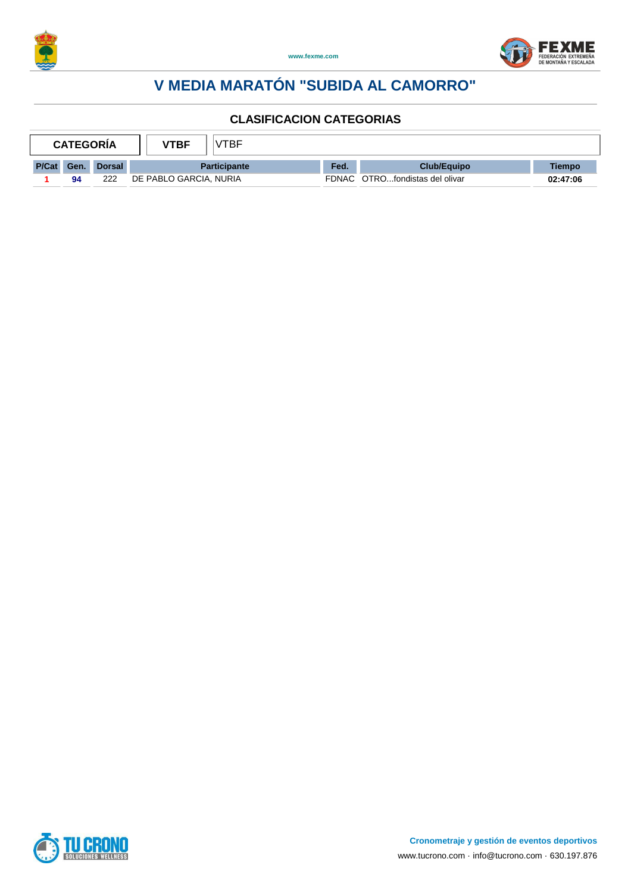



| /TBF<br>VTBF<br><b>CATEGORIA</b> |             |               |                        |       |                          |               |
|----------------------------------|-------------|---------------|------------------------|-------|--------------------------|---------------|
| P/Cat                            | <b>Gen.</b> | <b>Dorsal</b> | <b>Participante</b>    | Fed.  | Club/Equipo              | <b>Tiempo</b> |
|                                  | 94          | 222           | DE PABLO GARCIA, NURIA | FDNAC | OTROfondistas del olivar | 02:47:06      |

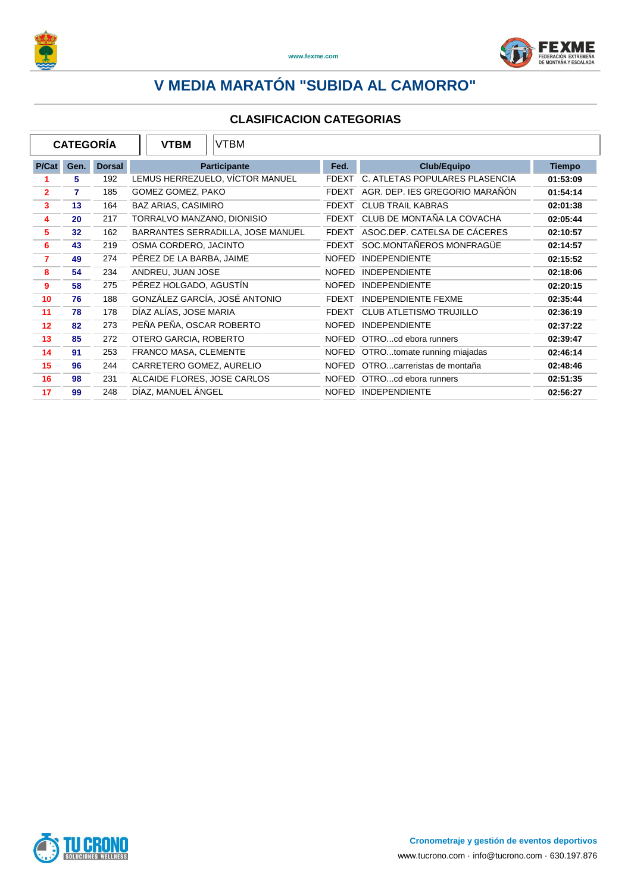



|                | <b>CATEGORIA</b> |               | <b>VTBM</b>                   | <b>VTBM</b>                       |              |                                |               |
|----------------|------------------|---------------|-------------------------------|-----------------------------------|--------------|--------------------------------|---------------|
| P/Cat          | Gen.             | <b>Dorsal</b> |                               | <b>Participante</b>               | Fed.         | <b>Club/Equipo</b>             | <b>Tiempo</b> |
|                | 5                | 192           |                               | LEMUS HERREZUELO, VÍCTOR MANUEL   | <b>FDEXT</b> | C. ATLETAS POPULARES PLASENCIA | 01:53:09      |
| $\overline{2}$ | 7                | 185           | GOMEZ GOMEZ, PAKO             |                                   | <b>FDEXT</b> | AGR. DEP. IES GREGORIO MARAÑON | 01:54:14      |
| 3              | 13               | 164           | <b>BAZ ARIAS, CASIMIRO</b>    |                                   | <b>FDEXT</b> | <b>CLUB TRAIL KABRAS</b>       | 02:01:38      |
| 4              | 20               | 217           | TORRALVO MANZANO, DIONISIO    |                                   | <b>FDEXT</b> | CLUB DE MONTAÑA LA COVACHA     | 02:05:44      |
| 5              | 32               | 162           |                               | BARRANTES SERRADILLA, JOSE MANUEL | <b>FDEXT</b> | ASOC.DEP. CATELSA DE CÁCERES   | 02:10:57      |
| 6              | 43               | 219           | OSMA CORDERO, JACINTO         |                                   | <b>FDEXT</b> | SOC.MONTAÑEROS MONFRAGÜE       | 02:14:57      |
| 7              | 49               | 274           | PÉREZ DE LA BARBA, JAIME      |                                   | <b>NOFED</b> | <b>INDEPENDIENTE</b>           | 02:15:52      |
| 8              | 54               | 234           | ANDREU, JUAN JOSE             |                                   | <b>NOFED</b> | <b>INDEPENDIENTE</b>           | 02:18:06      |
| 9              | 58               | 275           | PÉREZ HOLGADO, AGUSTÍN        |                                   | <b>NOFED</b> | <b>INDEPENDIENTE</b>           | 02:20:15      |
| 10             | 76               | 188           | GONZÁLEZ GARCÍA, JOSÉ ANTONIO |                                   | <b>FDEXT</b> | <b>INDEPENDIENTE FEXME</b>     | 02:35:44      |
| 11             | 78               | 178           | DÍAZ ALÍAS, JOSE MARIA        |                                   | <b>FDEXT</b> | <b>CLUB ATLETISMO TRUJILLO</b> | 02:36:19      |
| 12             | 82               | 273           | PEÑA PEÑA, OSCAR ROBERTO      |                                   | <b>NOFED</b> | <b>INDEPENDIENTE</b>           | 02:37:22      |
| 13             | 85               | 272           | OTERO GARCIA, ROBERTO         |                                   | <b>NOFED</b> | OTROcd ebora runners           | 02:39:47      |
| 14             | 91               | 253           | FRANCO MASA, CLEMENTE         |                                   | <b>NOFED</b> | OTROtomate running miajadas    | 02:46:14      |
| 15             | 96               | 244           | CARRETERO GOMEZ, AURELIO      |                                   | <b>NOFED</b> | OTROcarreristas de montaña     | 02:48:46      |
| 16             | 98               | 231           | ALCAIDE FLORES, JOSE CARLOS   |                                   | <b>NOFED</b> | OTROcd ebora runners           | 02:51:35      |
| 17             | 99               | 248           | DÍAZ, MANUEL ÁNGEL            |                                   | <b>NOFED</b> | <b>INDEPENDIENTE</b>           | 02:56:27      |